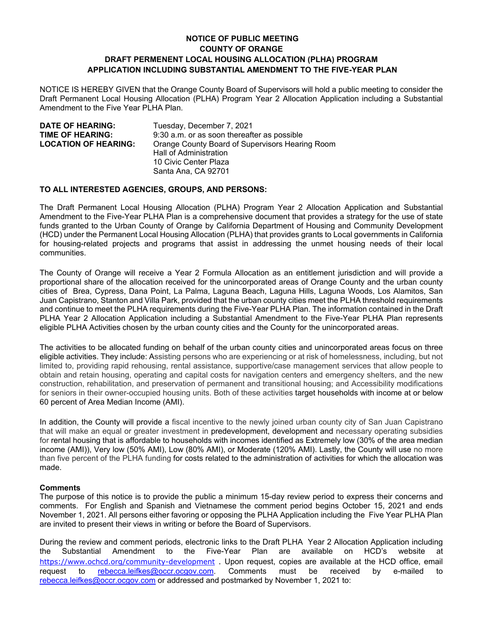## **NOTICE OF PUBLIC MEETING COUNTY OF ORANGE DRAFT PERMENENT LOCAL HOUSING ALLOCATION (PLHA) PROGRAM APPLICATION INCLUDING SUBSTANTIAL AMENDMENT TO THE FIVE-YEAR PLAN**

NOTICE IS HEREBY GIVEN that the Orange County Board of Supervisors will hold a public meeting to consider the Draft Permanent Local Housing Allocation (PLHA) Program Year 2 Allocation Application including a Substantial Amendment to the Five Year PLHA Plan.

| <b>DATE OF HEARING:</b>     | Tuesday, December 7, 2021                                                                                                 |
|-----------------------------|---------------------------------------------------------------------------------------------------------------------------|
| <b>TIME OF HEARING:</b>     | 9:30 a.m. or as soon thereafter as possible                                                                               |
| <b>LOCATION OF HEARING:</b> | Orange County Board of Supervisors Hearing Room<br>Hall of Administration<br>10 Civic Center Plaza<br>Santa Ana, CA 92701 |

## **TO ALL INTERESTED AGENCIES, GROUPS, AND PERSONS:**

The Draft Permanent Local Housing Allocation (PLHA) Program Year 2 Allocation Application and Substantial Amendment to the Five-Year PLHA Plan is a comprehensive document that provides a strategy for the use of state funds granted to the Urban County of Orange by California Department of Housing and Community Development (HCD) under the Permanent Local Housing Allocation (PLHA) that provides grants to Local governments in California for housing-related projects and programs that assist in addressing the unmet housing needs of their local communities.

The County of Orange will receive a Year 2 Formula Allocation as an entitlement jurisdiction and will provide a proportional share of the allocation received for the unincorporated areas of Orange County and the urban county cities of Brea, Cypress, Dana Point, La Palma, Laguna Beach, Laguna Hills, Laguna Woods, Los Alamitos, San Juan Capistrano, Stanton and Villa Park, provided that the urban county cities meet the PLHA threshold requirements and continue to meet the PLHA requirements during the Five-Year PLHA Plan. The information contained in the Draft PLHA Year 2 Allocation Application including a Substantial Amendment to the Five-Year PLHA Plan represents eligible PLHA Activities chosen by the urban county cities and the County for the unincorporated areas.

The activities to be allocated funding on behalf of the urban county cities and unincorporated areas focus on three eligible activities. They include: Assisting persons who are experiencing or at risk of homelessness, including, but not limited to, providing rapid rehousing, rental assistance, supportive/case management services that allow people to obtain and retain housing, operating and capital costs for navigation centers and emergency shelters, and the new construction, rehabilitation, and preservation of permanent and transitional housing; and Accessibility modifications for seniors in their owner-occupied housing units. Both of these activities target households with income at or below 60 percent of Area Median Income (AMI).

In addition, the County will provide a fiscal incentive to the newly joined urban county city of San Juan Capistrano that will make an equal or greater investment in predevelopment, development and necessary operating subsidies for rental housing that is affordable to households with incomes identified as Extremely low (30% of the area median income (AMI)), Very low (50% AMI), Low (80% AMI), or Moderate (120% AMI). Lastly, the County will use no more than five percent of the PLHA funding for costs related to the administration of activities for which the allocation was made.

## **Comments**

The purpose of this notice is to provide the public a minimum 15-day review period to express their concerns and comments. For English and Spanish and Vietnamese the comment period begins October 15, 2021 and ends November 1, 2021. All persons either favoring or opposing the PLHA Application including the Five Year PLHA Plan are invited to present their views in writing or before the Board of Supervisors.

During the review and comment periods, electronic links to the Draft PLHA Year 2 Allocation Application including the Substantial Amendment to the Five-Year Plan are available on HCD's website at https://www.ochcd.org/community-development . Upon request, copies are available at the HCD office, email request to rebecca.leifkes@occr.ocgov.com. Comments must be received by e-mailed to rebecca.leifkes@occr.ocgov.com or addressed and postmarked by November 1, 2021 to: